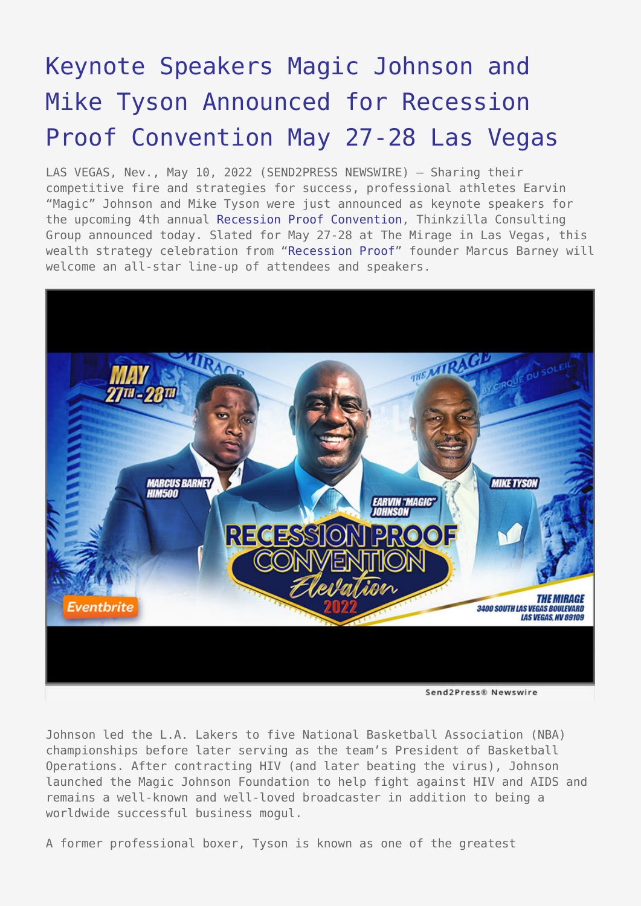## [Keynote Speakers Magic Johnson and](https://www.send2press.com/wire/keynote-speakers-magic-johnson-and-mike-tyson-announced-for-recession-proof-convention-may-27-28-las-vegas/) [Mike Tyson Announced for Recession](https://www.send2press.com/wire/keynote-speakers-magic-johnson-and-mike-tyson-announced-for-recession-proof-convention-may-27-28-las-vegas/) [Proof Convention May 27-28 Las Vegas](https://www.send2press.com/wire/keynote-speakers-magic-johnson-and-mike-tyson-announced-for-recession-proof-convention-may-27-28-las-vegas/)

LAS VEGAS, Nev., May 10, 2022 (SEND2PRESS NEWSWIRE) — Sharing their competitive fire and strategies for success, professional athletes Earvin "Magic" Johnson and Mike Tyson were just announced as keynote speakers for the upcoming 4th annual [Recession Proof Convention,](https://www.eventbrite.com/e/recession-proof-convention-elevation-tickets-291024751867) Thinkzilla Consulting Group announced today. Slated for May 27-28 at The Mirage in Las Vegas, this wealth strategy celebration from "[Recession Proof"](https://www.recessionproofxtreme.com/sales) founder Marcus Barney will welcome an all-star line-up of attendees and speakers.



Johnson led the L.A. Lakers to five National Basketball Association (NBA) championships before later serving as the team's President of Basketball Operations. After contracting HIV (and later beating the virus), Johnson launched the Magic Johnson Foundation to help fight against HIV and AIDS and remains a well-known and well-loved broadcaster in addition to being a worldwide successful business mogul.

A former professional boxer, Tyson is known as one of the greatest